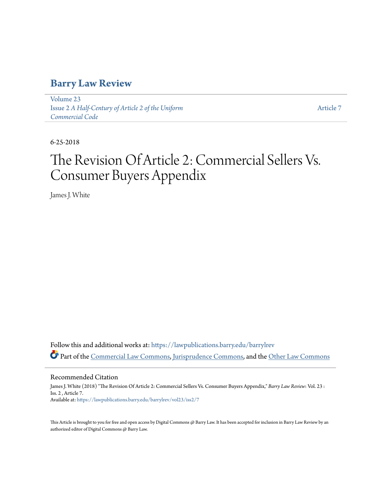## **[Barry Law Review](https://lawpublications.barry.edu/barrylrev?utm_source=lawpublications.barry.edu%2Fbarrylrev%2Fvol23%2Fiss2%2F7&utm_medium=PDF&utm_campaign=PDFCoverPages)**

[Volume 23](https://lawpublications.barry.edu/barrylrev/vol23?utm_source=lawpublications.barry.edu%2Fbarrylrev%2Fvol23%2Fiss2%2F7&utm_medium=PDF&utm_campaign=PDFCoverPages) Issue 2 *[A Half-Century of Article 2 of the Uniform](https://lawpublications.barry.edu/barrylrev/vol23/iss2?utm_source=lawpublications.barry.edu%2Fbarrylrev%2Fvol23%2Fiss2%2F7&utm_medium=PDF&utm_campaign=PDFCoverPages) [Commercial Code](https://lawpublications.barry.edu/barrylrev/vol23/iss2?utm_source=lawpublications.barry.edu%2Fbarrylrev%2Fvol23%2Fiss2%2F7&utm_medium=PDF&utm_campaign=PDFCoverPages)*

[Article 7](https://lawpublications.barry.edu/barrylrev/vol23/iss2/7?utm_source=lawpublications.barry.edu%2Fbarrylrev%2Fvol23%2Fiss2%2F7&utm_medium=PDF&utm_campaign=PDFCoverPages)

6-25-2018

# The Revision Of Article 2: Commercial Sellers Vs. Consumer Buyers Appendix

James J. White

Follow this and additional works at: [https://lawpublications.barry.edu/barrylrev](https://lawpublications.barry.edu/barrylrev?utm_source=lawpublications.barry.edu%2Fbarrylrev%2Fvol23%2Fiss2%2F7&utm_medium=PDF&utm_campaign=PDFCoverPages) Part of the [Commercial Law Commons](http://network.bepress.com/hgg/discipline/586?utm_source=lawpublications.barry.edu%2Fbarrylrev%2Fvol23%2Fiss2%2F7&utm_medium=PDF&utm_campaign=PDFCoverPages), [Jurisprudence Commons,](http://network.bepress.com/hgg/discipline/610?utm_source=lawpublications.barry.edu%2Fbarrylrev%2Fvol23%2Fiss2%2F7&utm_medium=PDF&utm_campaign=PDFCoverPages) and the [Other Law Commons](http://network.bepress.com/hgg/discipline/621?utm_source=lawpublications.barry.edu%2Fbarrylrev%2Fvol23%2Fiss2%2F7&utm_medium=PDF&utm_campaign=PDFCoverPages)

Recommended Citation

James J. White (2018) "The Revision Of Article 2: Commercial Sellers Vs. Consumer Buyers Appendix," *Barry Law Review*: Vol. 23 : Iss. 2 , Article 7. Available at: [https://lawpublications.barry.edu/barrylrev/vol23/iss2/7](https://lawpublications.barry.edu/barrylrev/vol23/iss2/7?utm_source=lawpublications.barry.edu%2Fbarrylrev%2Fvol23%2Fiss2%2F7&utm_medium=PDF&utm_campaign=PDFCoverPages)

This Article is brought to you for free and open access by Digital Commons @ Barry Law. It has been accepted for inclusion in Barry Law Review by an authorized editor of Digital Commons @ Barry Law.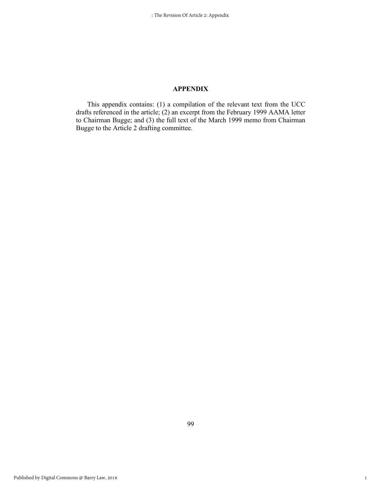### **APPENDIX**

This appendix contains: (1) a compilation of the relevant text from the UCC drafts referenced in the article; (2) an excerpt from the February 1999 AAMA letter to Chairman Bugge; and (3) the full text of the March 1999 memo from Chairman Bugge to the Article 2 drafting committee.

1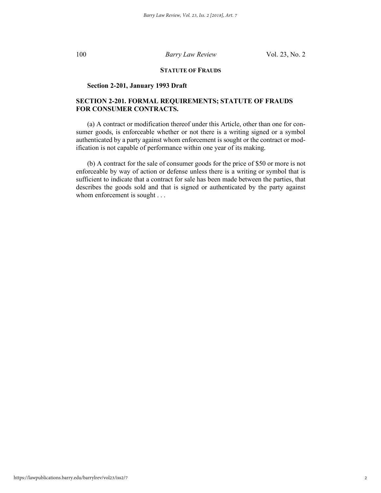### **STATUTE OF FRAUDS**

### **Section 2-201, January 1993 Draft**

### **SECTION 2-201. FORMAL REQUIREMENTS; STATUTE OF FRAUDS FOR CONSUMER CONTRACTS.**

(a) A contract or modification thereof under this Article, other than one for consumer goods, is enforceable whether or not there is a writing signed or a symbol authenticated by a party against whom enforcement is sought or the contract or modification is not capable of performance within one year of its making.

(b) A contract for the sale of consumer goods for the price of \$50 or more is not enforceable by way of action or defense unless there is a writing or symbol that is sufficient to indicate that a contract for sale has been made between the parties, that describes the goods sold and that is signed or authenticated by the party against whom enforcement is sought . . .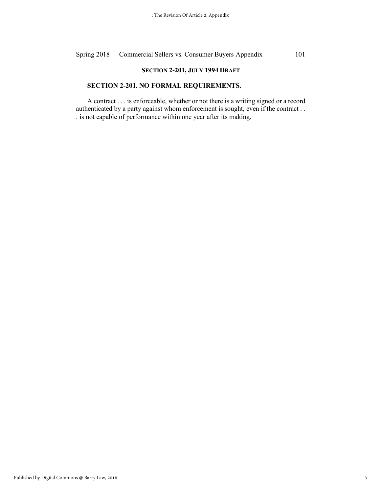### **SECTION 2-201, JULY 1994 DRAFT**

### **SECTION 2-201. NO FORMAL REQUIREMENTS.**

A contract . . . is enforceable, whether or not there is a writing signed or a record authenticated by a party against whom enforcement is sought, even if the contract . . . is not capable of performance within one year after its making.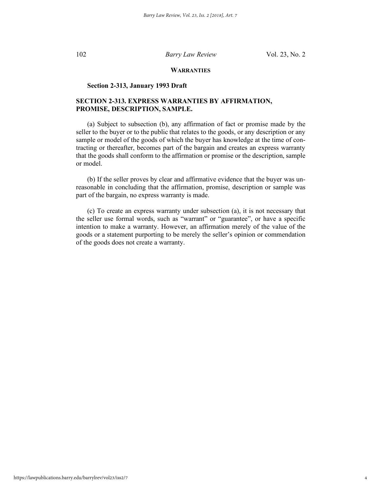### **WARRANTIES**

### **Section 2-313, January 1993 Draft**

### **SECTION 2-313. EXPRESS WARRANTIES BY AFFIRMATION, PROMISE, DESCRIPTION, SAMPLE.**

(a) Subject to subsection (b), any affirmation of fact or promise made by the seller to the buyer or to the public that relates to the goods, or any description or any sample or model of the goods of which the buyer has knowledge at the time of contracting or thereafter, becomes part of the bargain and creates an express warranty that the goods shall conform to the affirmation or promise or the description, sample or model.

(b) If the seller proves by clear and affirmative evidence that the buyer was unreasonable in concluding that the affirmation, promise, description or sample was part of the bargain, no express warranty is made.

(c) To create an express warranty under subsection (a), it is not necessary that the seller use formal words, such as "warrant" or "guarantee", or have a specific intention to make a warranty. However, an affirmation merely of the value of the goods or a statement purporting to be merely the seller's opinion or commendation of the goods does not create a warranty.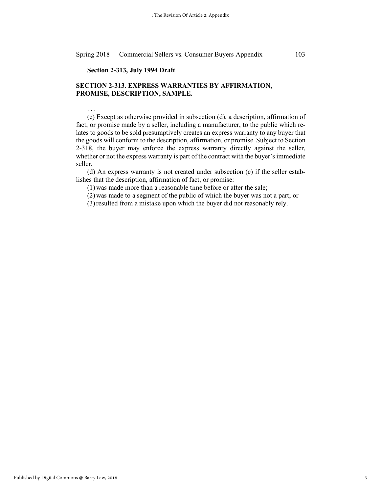### **Section 2-313, July 1994 Draft**

. . .

### **SECTION 2-313. EXPRESS WARRANTIES BY AFFIRMATION, PROMISE, DESCRIPTION, SAMPLE.**

(c) Except as otherwise provided in subsection (d), a description, affirmation of fact, or promise made by a seller, including a manufacturer, to the public which relates to goods to be sold presumptively creates an express warranty to any buyer that the goods will conform to the description, affirmation, or promise. Subject to Section 2-318, the buyer may enforce the express warranty directly against the seller, whether or not the express warranty is part of the contract with the buyer's immediate seller.

(d) An express warranty is not created under subsection (c) if the seller establishes that the description, affirmation of fact, or promise:

(1) was made more than a reasonable time before or after the sale;

(2) was made to a segment of the public of which the buyer was not a part; or

(3)resulted from a mistake upon which the buyer did not reasonably rely.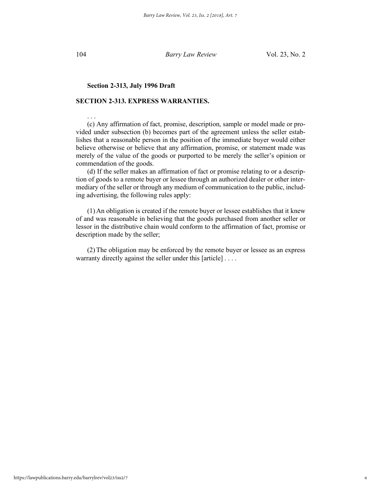. . .

104 *Barry Law Review* Vol. 23, No. 2

### **Section 2-313, July 1996 Draft**

### **SECTION 2-313. EXPRESS WARRANTIES.**

(c) Any affirmation of fact, promise, description, sample or model made or provided under subsection (b) becomes part of the agreement unless the seller establishes that a reasonable person in the position of the immediate buyer would either believe otherwise or believe that any affirmation, promise, or statement made was merely of the value of the goods or purported to be merely the seller's opinion or commendation of the goods.

(d) If the seller makes an affirmation of fact or promise relating to or a description of goods to a remote buyer or lessee through an authorized dealer or other intermediary of the seller or through any medium of communication to the public, including advertising, the following rules apply:

(1) An obligation is created if the remote buyer or lessee establishes that it knew of and was reasonable in believing that the goods purchased from another seller or lessor in the distributive chain would conform to the affirmation of fact, promise or description made by the seller;

(2)The obligation may be enforced by the remote buyer or lessee as an express warranty directly against the seller under this [article] . . . .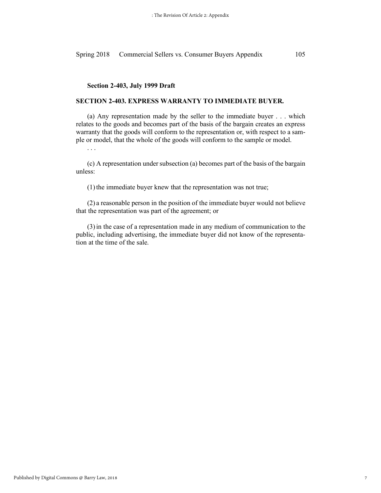### **Section 2-403, July 1999 Draft**

### **SECTION 2-403. EXPRESS WARRANTY TO IMMEDIATE BUYER.**

(a) Any representation made by the seller to the immediate buyer . . . which relates to the goods and becomes part of the basis of the bargain creates an express warranty that the goods will conform to the representation or, with respect to a sample or model, that the whole of the goods will conform to the sample or model.

. . .

(c) A representation under subsection (a) becomes part of the basis of the bargain unless:

 $(1)$  the immediate buyer knew that the representation was not true;

(2) a reasonable person in the position of the immediate buyer would not believe that the representation was part of the agreement; or

(3)in the case of a representation made in any medium of communication to the public, including advertising, the immediate buyer did not know of the representation at the time of the sale.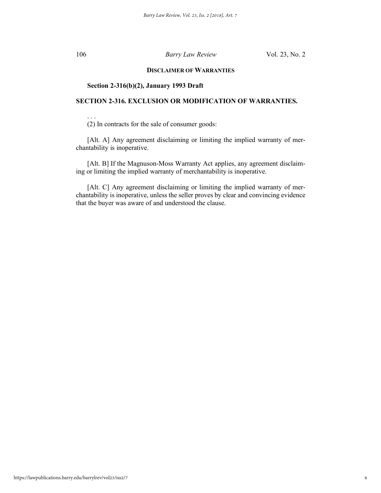. . .

### 106 *Barry Law Review* Vol. 23, No. 2

### **DISCLAIMER OF WARRANTIES**

### **Section 2-316(b)(2), January 1993 Draft**

### **SECTION 2-316. EXCLUSION OR MODIFICATION OF WARRANTIES.**

(2) In contracts for the sale of consumer goods:

[Alt. A] Any agreement disclaiming or limiting the implied warranty of merchantability is inoperative.

[Alt. B] If the Magnuson-Moss Warranty Act applies, any agreement disclaiming or limiting the implied warranty of merchantability is inoperative.

[Alt. C] Any agreement disclaiming or limiting the implied warranty of merchantability is inoperative, unless the seller proves by clear and convincing evidence that the buyer was aware of and understood the clause.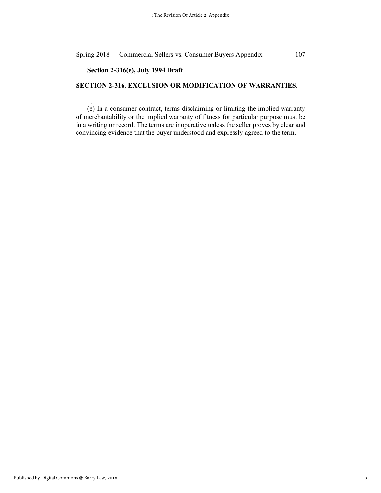### **Section 2-316(e), July 1994 Draft**

. . .

### **SECTION 2-316. EXCLUSION OR MODIFICATION OF WARRANTIES.**

(e) In a consumer contract, terms disclaiming or limiting the implied warranty of merchantability or the implied warranty of fitness for particular purpose must be in a writing or record. The terms are inoperative unless the seller proves by clear and convincing evidence that the buyer understood and expressly agreed to the term.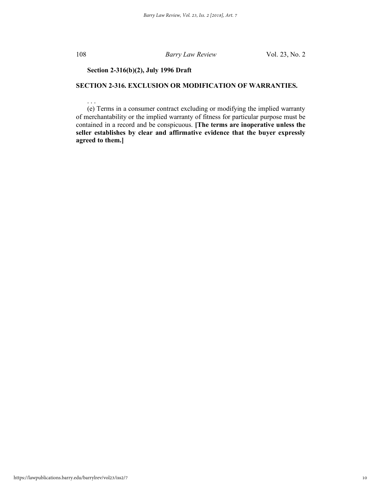. . .

### 108 *Barry Law Review* Vol. 23, No. 2

### **Section 2-316(b)(2), July 1996 Draft**

### **SECTION 2-316. EXCLUSION OR MODIFICATION OF WARRANTIES.**

(e) Terms in a consumer contract excluding or modifying the implied warranty of merchantability or the implied warranty of fitness for particular purpose must be contained in a record and be conspicuous. **[The terms are inoperative unless the seller establishes by clear and affirmative evidence that the buyer expressly agreed to them.]**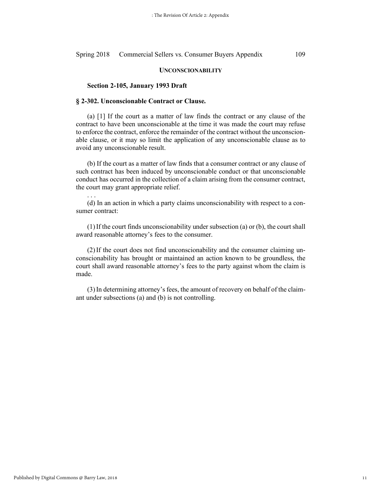### **UNCONSCIONABILITY**

### **Section 2-105, January 1993 Draft**

### **§ 2-302. Unconscionable Contract or Clause.**

(a) [1] If the court as a matter of law finds the contract or any clause of the contract to have been unconscionable at the time it was made the court may refuse to enforce the contract, enforce the remainder of the contract without the unconscionable clause, or it may so limit the application of any unconscionable clause as to avoid any unconscionable result.

(b) If the court as a matter of law finds that a consumer contract or any clause of such contract has been induced by unconscionable conduct or that unconscionable conduct has occurred in the collection of a claim arising from the consumer contract, the court may grant appropriate relief.

. . . (d) In an action in which a party claims unconscionability with respect to a consumer contract:

(1)If the court finds unconscionability under subsection (a) or (b), the court shall award reasonable attorney's fees to the consumer.

(2)If the court does not find unconscionability and the consumer claiming unconscionability has brought or maintained an action known to be groundless, the court shall award reasonable attorney's fees to the party against whom the claim is made.

(3)In determining attorney's fees, the amount of recovery on behalf of the claimant under subsections (a) and (b) is not controlling.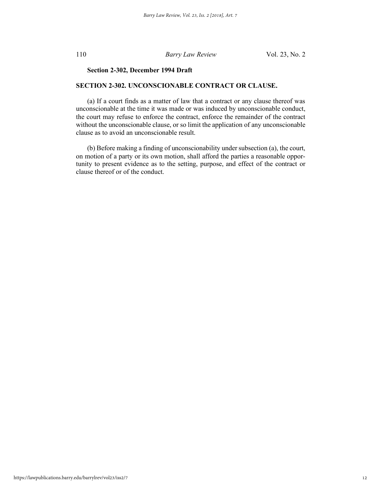### **Section 2-302, December 1994 Draft**

### **SECTION 2-302. UNCONSCIONABLE CONTRACT OR CLAUSE.**

(a) If a court finds as a matter of law that a contract or any clause thereof was unconscionable at the time it was made or was induced by unconscionable conduct, the court may refuse to enforce the contract, enforce the remainder of the contract without the unconscionable clause, or so limit the application of any unconscionable clause as to avoid an unconscionable result.

(b) Before making a finding of unconscionability under subsection (a), the court, on motion of a party or its own motion, shall afford the parties a reasonable opportunity to present evidence as to the setting, purpose, and effect of the contract or clause thereof or of the conduct.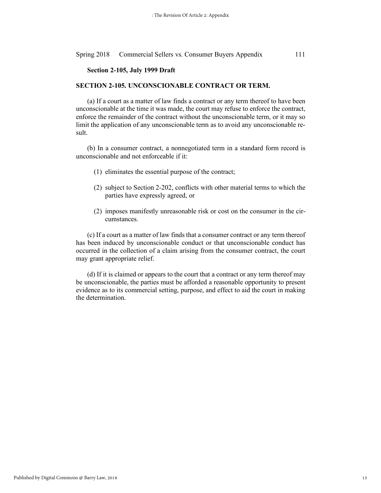### **Section 2-105, July 1999 Draft**

### **SECTION 2-105. UNCONSCIONABLE CONTRACT OR TERM.**

(a) If a court as a matter of law finds a contract or any term thereof to have been unconscionable at the time it was made, the court may refuse to enforce the contract, enforce the remainder of the contract without the unconscionable term, or it may so limit the application of any unconscionable term as to avoid any unconscionable result.

(b) In a consumer contract, a nonnegotiated term in a standard form record is unconscionable and not enforceable if it:

- (1) eliminates the essential purpose of the contract;
- (2) subject to Section 2-202, conflicts with other material terms to which the parties have expressly agreed, or
- (2) imposes manifestly unreasonable risk or cost on the consumer in the circumstances.

(c) If a court as a matter of law finds that a consumer contract or any term thereof has been induced by unconscionable conduct or that unconscionable conduct has occurred in the collection of a claim arising from the consumer contract, the court may grant appropriate relief.

(d) If it is claimed or appears to the court that a contract or any term thereof may be unconscionable, the parties must be afforded a reasonable opportunity to present evidence as to its commercial setting, purpose, and effect to aid the court in making the determination.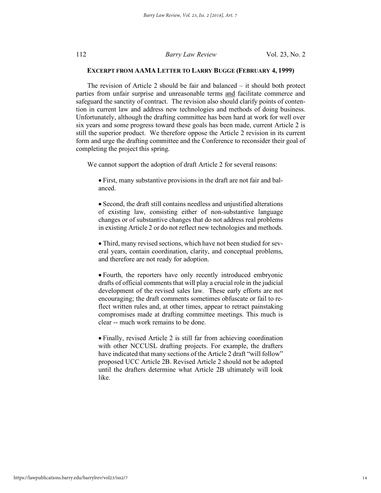### **EXCERPT FROM AAMA LETTER TO LARRY BUGGE (FEBRUARY 4, 1999)**

The revision of Article 2 should be fair and balanced – it should both protect parties from unfair surprise and unreasonable terms and facilitate commerce and safeguard the sanctity of contract. The revision also should clarify points of contention in current law and address new technologies and methods of doing business. Unfortunately, although the drafting committee has been hard at work for well over six years and some progress toward these goals has been made, current Article 2 is still the superior product. We therefore oppose the Article 2 revision in its current form and urge the drafting committee and the Conference to reconsider their goal of completing the project this spring.

We cannot support the adoption of draft Article 2 for several reasons:

• First, many substantive provisions in the draft are not fair and balanced.

• Second, the draft still contains needless and unjustified alterations of existing law, consisting either of non-substantive language changes or of substantive changes that do not address real problems in existing Article 2 or do not reflect new technologies and methods.

• Third, many revised sections, which have not been studied for several years, contain coordination, clarity, and conceptual problems, and therefore are not ready for adoption.

• Fourth, the reporters have only recently introduced embryonic drafts of official comments that will play a crucial role in the judicial development of the revised sales law. These early efforts are not encouraging; the draft comments sometimes obfuscate or fail to reflect written rules and, at other times, appear to retract painstaking compromises made at drafting committee meetings. This much is clear -- much work remains to be done.

• Finally, revised Article 2 is still far from achieving coordination with other NCCUSL drafting projects. For example, the drafters have indicated that many sections of the Article 2 draft "will follow" proposed UCC Article 2B. Revised Article 2 should not be adopted until the drafters determine what Article 2B ultimately will look like.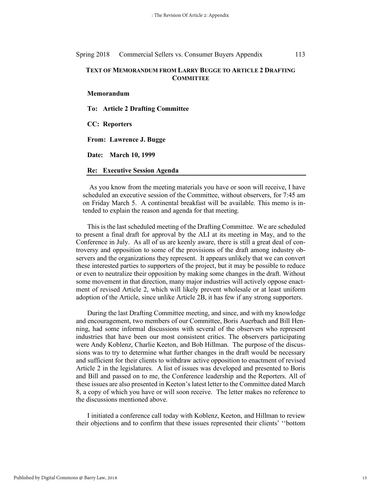### **TEXT OF MEMORANDUM FROM LARRY BUGGE TO ARTICLE 2 DRAFTING COMMITTEE**

**Memorandum**

**To: Article 2 Drafting Committee**

**CC: Reporters**

**From: Lawrence J. Bugge**

**Date: March 10, 1999**

**Re: Executive Session Agenda**

As you know from the meeting materials you have or soon will receive, I have scheduled an executive session of the Committee, without observers, for 7:45 am on Friday March 5. A continental breakfast will be available. This memo is intended to explain the reason and agenda for that meeting.

This is the last scheduled meeting of the Drafting Committee. We are scheduled to present a final draft for approval by the ALI at its meeting in May, and to the Conference in July. As all of us are keenly aware, there is still a great deal of controversy and opposition to some of the provisions of the draft among industry observers and the organizations they represent. It appears unlikely that we can convert these interested parties to supporters of the project, but it may be possible to reduce or even to neutralize their opposition by making some changes in the draft. Without some movement in that direction, many major industries will actively oppose enactment of revised Article 2, which will likely prevent wholesale or at least uniform adoption of the Article, since unlike Article 2B, it has few if any strong supporters.

During the last Drafting Committee meeting, and since, and with my knowledge and encouragement, two members of our Committee, Boris Auerbach and Bill Henning, had some informal discussions with several of the observers who represent industries that have been our most consistent critics. The observers participating were Andy Koblenz, Charlie Keeton, and Bob Hillman. The purpose of the discussions was to try to determine what further changes in the draft would be necessary and sufficient for their clients to withdraw active opposition to enactment of revised Article 2 in the legislatures. A list of issues was developed and presented to Boris and Bill and passed on to me, the Conference leadership and the Reporters. All of these issues are also presented in Keeton's latest letter to the Committee dated March 8, a copy of which you have or will soon receive. The letter makes no reference to the discussions mentioned above.

I initiated a conference call today with Koblenz, Keeton, and Hillman to review their objections and to confirm that these issues represented their clients' ''bottom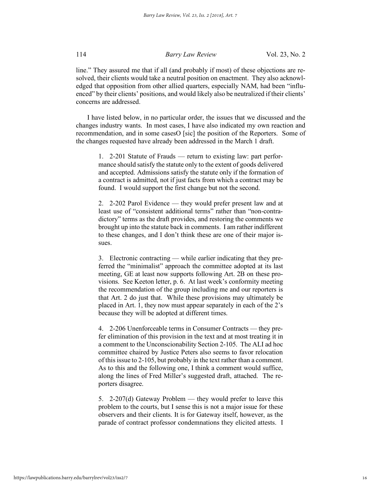line." They assured me that if all (and probably if most) of these objections are resolved, their clients would take a neutral position on enactment. They also acknowledged that opposition from other allied quarters, especially NAM, had been "influenced" by their clients' positions, and would likely also be neutralized if their clients' concerns are addressed.

I have listed below, in no particular order, the issues that we discussed and the changes industry wants. In most cases, I have also indicated my own reaction and recommendation, and in some casesO [sic] the position of the Reporters. Some of the changes requested have already been addressed in the March 1 draft.

1. 2-201 Statute of Frauds — return to existing law: part performance should satisfy the statute only to the extent of goods delivered and accepted. Admissions satisfy the statute only if the formation of a contract is admitted, not if just facts from which a contract may be found. I would support the first change but not the second.

2. 2-202 Parol Evidence — they would prefer present law and at least use of "consistent additional terms" rather than "non-contradictory" terms as the draft provides, and restoring the comments we brought up into the statute back in comments. I am rather indifferent to these changes, and I don't think these are one of their major issues.

3. Electronic contracting — while earlier indicating that they preferred the "minimalist" approach the committee adopted at its last meeting, GE at least now supports following Art. 2B on these provisions. See Keeton letter, p. 6. At last week's conformity meeting the recommendation of the group including me and our reporters is that Art. 2 do just that. While these provisions may ultimately be placed in Art. 1, they now must appear separately in each of the 2's because they will be adopted at different times.

4. 2-206 Unenforceable terms in Consumer Contracts — they prefer elimination of this provision in the text and at most treating it in a comment to the Unconscionability Section 2-105. The ALI ad hoc committee chaired by Justice Peters also seems to favor relocation of this issue to 2-105, but probably in the text rather than a comment. As to this and the following one, I think a comment would suffice, along the lines of Fred Miller's suggested draft, attached. The reporters disagree.

5. 2-207(d) Gateway Problem — they would prefer to leave this problem to the courts, but I sense this is not a major issue for these observers and their clients. It is for Gateway itself, however, as the parade of contract professor condemnations they elicited attests. I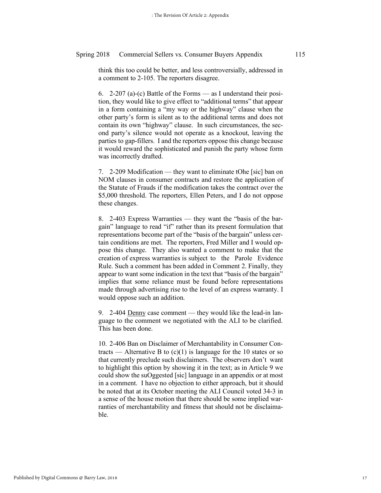think this too could be better, and less controversially, addressed in a comment to 2-105. The reporters disagree.

6. 2-207 (a)-(c) Battle of the Forms — as I understand their position, they would like to give effect to "additional terms" that appear in a form containing a "my way or the highway" clause when the other party's form is silent as to the additional terms and does not contain its own "highway" clause. In such circumstances, the second party's silence would not operate as a knockout, leaving the parties to gap-fillers. I and the reporters oppose this change because it would reward the sophisticated and punish the party whose form was incorrectly drafted.

7. 2-209 Modification — they want to eliminate tOhe [sic] ban on NOM clauses in consumer contracts and restore the application of the Statute of Frauds if the modification takes the contract over the \$5,000 threshold. The reporters, Ellen Peters, and I do not oppose these changes.

8. 2-403 Express Warranties — they want the "basis of the bargain" language to read "if" rather than its present formulation that representations become part of the "basis of the bargain" unless certain conditions are met. The reporters, Fred Miller and I would oppose this change. They also wanted a comment to make that the creation of express warranties is subject to the Parole Evidence Rule. Such a comment has been added in Comment 2. Finally, they appear to want some indication in the text that "basis of the bargain" implies that some reliance must be found before representations made through advertising rise to the level of an express warranty. I would oppose such an addition.

9. 2-404 Denny case comment — they would like the lead-in language to the comment we negotiated with the ALI to be clarified. This has been done.

10. 2-406 Ban on Disclaimer of Merchantability in Consumer Contracts — Alternative B to  $(c)(1)$  is language for the 10 states or so that currently preclude such disclaimers. The observers don't want to highlight this option by showing it in the text; as in Article 9 we could show the suOggested [sic] language in an appendix or at most in a comment. I have no objection to either approach, but it should be noted that at its October meeting the ALI Council voted 34-3 in a sense of the house motion that there should be some implied warranties of merchantability and fitness that should not be disclaimable.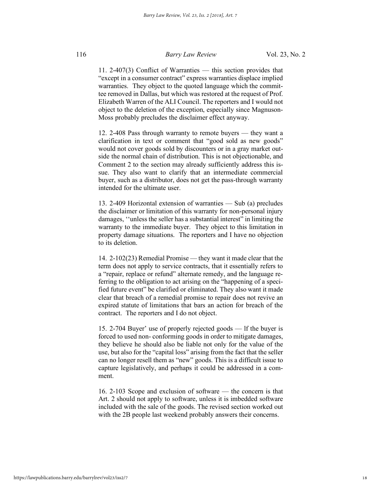11. 2-407(3) Conflict of Warranties — this section provides that "except in a consumer contract" express warranties displace implied warranties. They object to the quoted language which the committee removed in Dallas, but which was restored at the request of Prof. Elizabeth Warren of the ALI Council. The reporters and I would not object to the deletion of the exception, especially since Magnuson-Moss probably precludes the disclaimer effect anyway.

12. 2-408 Pass through warranty to remote buyers — they want a clarification in text or comment that "good sold as new goods" would not cover goods sold by discounters or in a gray market outside the normal chain of distribution. This is not objectionable, and Comment 2 to the section may already sufficiently address this issue. They also want to clarify that an intermediate commercial buyer, such as a distributor, does not get the pass-through warranty intended for the ultimate user.

13. 2-409 Horizontal extension of warranties — Sub (a) precludes the disclaimer or limitation of this warranty for non-personal injury damages, ''unless the seller has a substantial interest" in limiting the warranty to the immediate buyer. They object to this limitation in property damage situations. The reporters and I have no objection to its deletion.

14. 2-102(23) Remedial Promise — they want it made clear that the term does not apply to service contracts, that it essentially refers to a "repair, replace or refund" alternate remedy, and the language referring to the obligation to act arising on the "happening of a specified future event" be clarified or eliminated. They also want it made clear that breach of a remedial promise to repair does not revive an expired statute of limitations that bars an action for breach of the contract. The reporters and I do not object.

15. 2-704 Buyer' use of properly rejected goods — lf the buyer is forced to used non- conforming goods in order to mitigate damages, they believe he should also be liable not only for the value of the use, but also for the "capital loss" arising from the fact that the seller can no longer resell them as "new" goods. This is a difficult issue to capture legislatively, and perhaps it could be addressed in a comment.

16. 2-103 Scope and exclusion of software — the concern is that Art. 2 should not apply to software, unless it is imbedded software included with the sale of the goods. The revised section worked out with the 2B people last weekend probably answers their concerns.